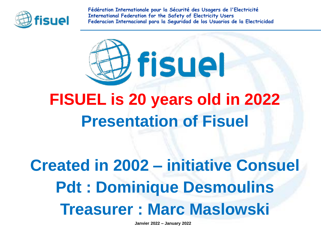

**Fédération Internationale pour la Sécurité des Usagers de l'Electricité International Federation for the Safety of Electricity Users Federacion Internacional para la Seguridad de los Usuarios de la Electricidad**



### **FISUEL is 20 years old in 2022 Presentation of Fisuel**

**Created in 2002 – initiative Consuel Pdt : Dominique Desmoulins Treasurer : Marc Maslowski**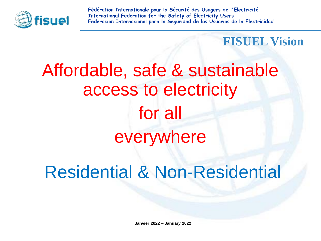

**Fédération Internationale pour la Sécurité des Usagers de l'Electricité International Federation for the Safety of Electricity Users Federacion Internacional para la Seguridad de los Usuarios de la Electricidad**

**FISUEL Vision**

# Affordable, safe & sustainable access to electricity for all everywhere

Residential & Non-Residential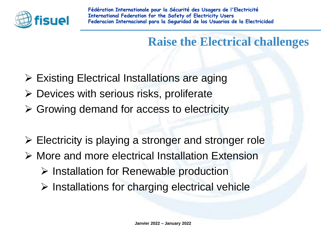

### **Raise the Electrical challenges**

- ➢ Existing Electrical Installations are aging
- $\triangleright$  Devices with serious risks, proliferate
- $\triangleright$  Growing demand for access to electricity
- ➢ Electricity is playing a stronger and stronger role
- ➢ More and more electrical Installation Extension
	- ➢ Installation for Renewable production
	- ➢ Installations for charging electrical vehicle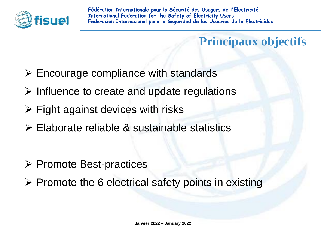

**Principaux objectifs**

- $\triangleright$  Encourage compliance with standards
- ➢ Influence to create and update regulations
- $\triangleright$  Fight against devices with risks
- ➢ Elaborate reliable & sustainable statistics
- ➢ Promote Best-practices
- ➢ Promote the 6 electrical safety points in existing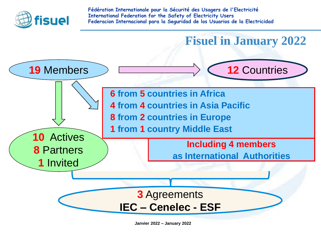

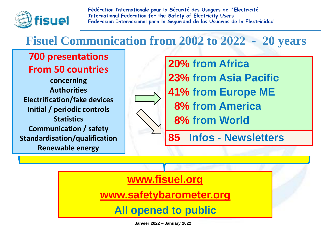

### **Fisuel Communication from 2002 to 2022 - 20 years**

**700 presentations From 50 countries**

**concerning Authorities Electrification/fake devices Initial / periodic controls Statistics Communication / safety Standardisation/qualification Renewable energy**

**20% from Africa 23% from Asia Pacific 41% from Europe ME 8% from America 8% from World**

**85 Infos - Newsletters**

#### **[www.fisuel.org](http://www.fisuel.org/)**

**[www.safetybarometer.org](http://www.safetybarometer.org/)**

**All opened to public**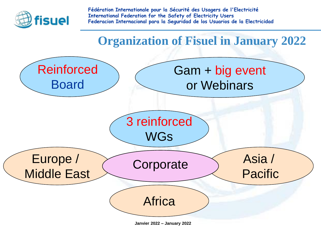

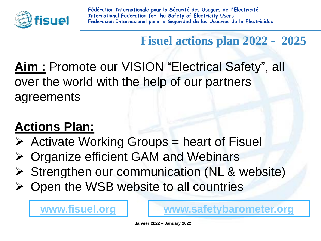

**Fisuel actions plan 2022 - 2025** 

**Aim :** Promote our VISION "Electrical Safety", all over the world with the help of our partners agreements

### **Actions Plan:**

- $\triangleright$  Activate Working Groups = heart of Fisuel
- ➢ Organize efficient GAM and Webinars
- ➢ Strengthen our communication (NL & website)
- ➢ Open the WSB website to all countries

[www.fisuel.org](http://www.fisuel.org/) **[www.safetybarometer.org](http://www.safetybarometer.org/)**